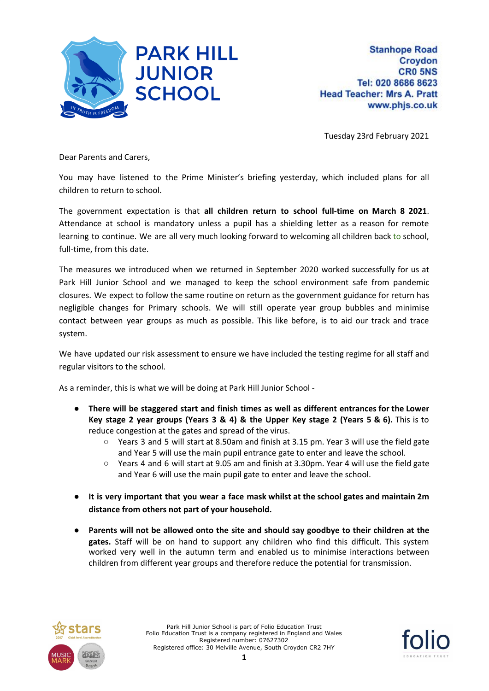

Tuesday 23rd February 2021

Dear Parents and Carers,

You may have listened to the Prime Minister's briefing yesterday, which included plans for all children to return to school.

The government expectation is that **all children return to school full-time on March 8 2021**. Attendance at school is mandatory unless a pupil has a shielding letter as a reason for remote learning to continue. We are all very much looking forward to welcoming all children back to school, full-time, from this date.

The measures we introduced when we returned in September 2020 worked successfully for us at Park Hill Junior School and we managed to keep the school environment safe from pandemic closures. We expect to follow the same routine on return as the government guidance for return has negligible changes for Primary schools. We will still operate year group bubbles and minimise contact between year groups as much as possible. This like before, is to aid our track and trace system.

We have updated our risk assessment to ensure we have included the testing regime for all staff and regular visitors to the school.

As a reminder, this is what we will be doing at Park Hill Junior School -

- **There will be staggered start and finish times as well as different entrances for the Lower Key stage 2 year groups (Years 3 & 4) & the Upper Key stage 2 (Years 5 & 6).** This is to reduce congestion at the gates and spread of the virus.
	- Years 3 and 5 will start at 8.50am and finish at 3.15 pm. Year 3 will use the field gate and Year 5 will use the main pupil entrance gate to enter and leave the school.
	- Years 4 and 6 will start at 9.05 am and finish at 3.30pm. Year 4 will use the field gate and Year 6 will use the main pupil gate to enter and leave the school.
- **It is very important that you wear a face mask whilst at the school gates and maintain 2m distance from others not part of your household.**
- **Parents will not be allowed onto the site and should say goodbye to their children at the gates.** Staff will be on hand to support any children who find this difficult. This system worked very well in the autumn term and enabled us to minimise interactions between children from different year groups and therefore reduce the potential for transmission.



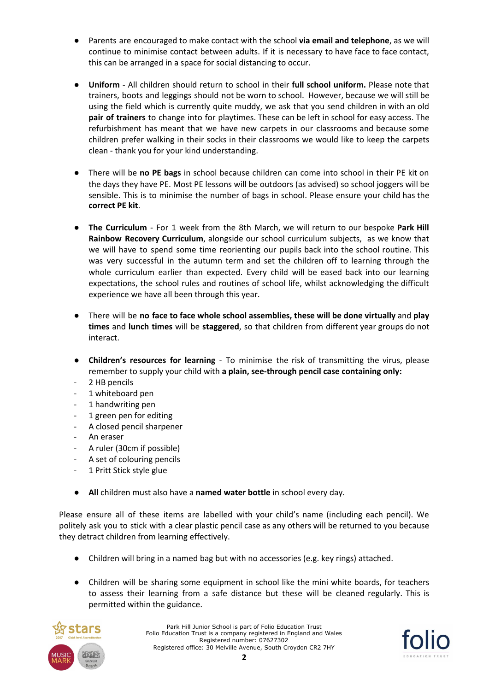- Parents are encouraged to make contact with the school **via email and telephone**, as we will continue to minimise contact between adults. If it is necessary to have face to face contact, this can be arranged in a space for social distancing to occur.
- **Uniform** All children should return to school in their **full school uniform.** Please note that trainers, boots and leggings should not be worn to school. However, because we will still be using the field which is currently quite muddy, we ask that you send children in with an old **pair of trainers** to change into for playtimes. These can be left in school for easy access. The refurbishment has meant that we have new carpets in our classrooms and because some children prefer walking in their socks in their classrooms we would like to keep the carpets clean - thank you for your kind understanding.
- There will be **no PE bags** in school because children can come into school in their PE kit on the days they have PE. Most PE lessons will be outdoors (as advised) so school joggers will be sensible. This is to minimise the number of bags in school. Please ensure your child has the **correct PE kit**.
- **The Curriculum** For 1 week from the 8th March, we will return to our bespoke **Park Hill Rainbow Recovery Curriculum**, alongside our school curriculum subjects, as we know that we will have to spend some time reorienting our pupils back into the school routine. This was very successful in the autumn term and set the children off to learning through the whole curriculum earlier than expected. Every child will be eased back into our learning expectations, the school rules and routines of school life, whilst acknowledging the difficult experience we have all been through this year.
- There will be **no face to face whole school assemblies, these will be done virtually** and **play times** and **lunch times** will be **staggered**, so that children from different year groups do not interact.
- **Children's resources for learning** To minimise the risk of transmitting the virus, please remember to supply your child with **a plain, see-through pencil case containing only:**
- 2 HB pencils
- 1 whiteboard pen
- 1 handwriting pen
- 1 green pen for editing
- A closed pencil sharpener
- An eraser
- A ruler (30cm if possible)
- A set of colouring pencils
- 1 Pritt Stick style glue
- **All** children must also have a **named water bottle** in school every day.

Please ensure all of these items are labelled with your child's name (including each pencil). We politely ask you to stick with a clear plastic pencil case as any others will be returned to you because they detract children from learning effectively.

- Children will bring in a named bag but with no accessories (e.g. key rings) attached.
- Children will be sharing some equipment in school like the mini white boards, for teachers to assess their learning from a safe distance but these will be cleaned regularly. This is permitted within the guidance.